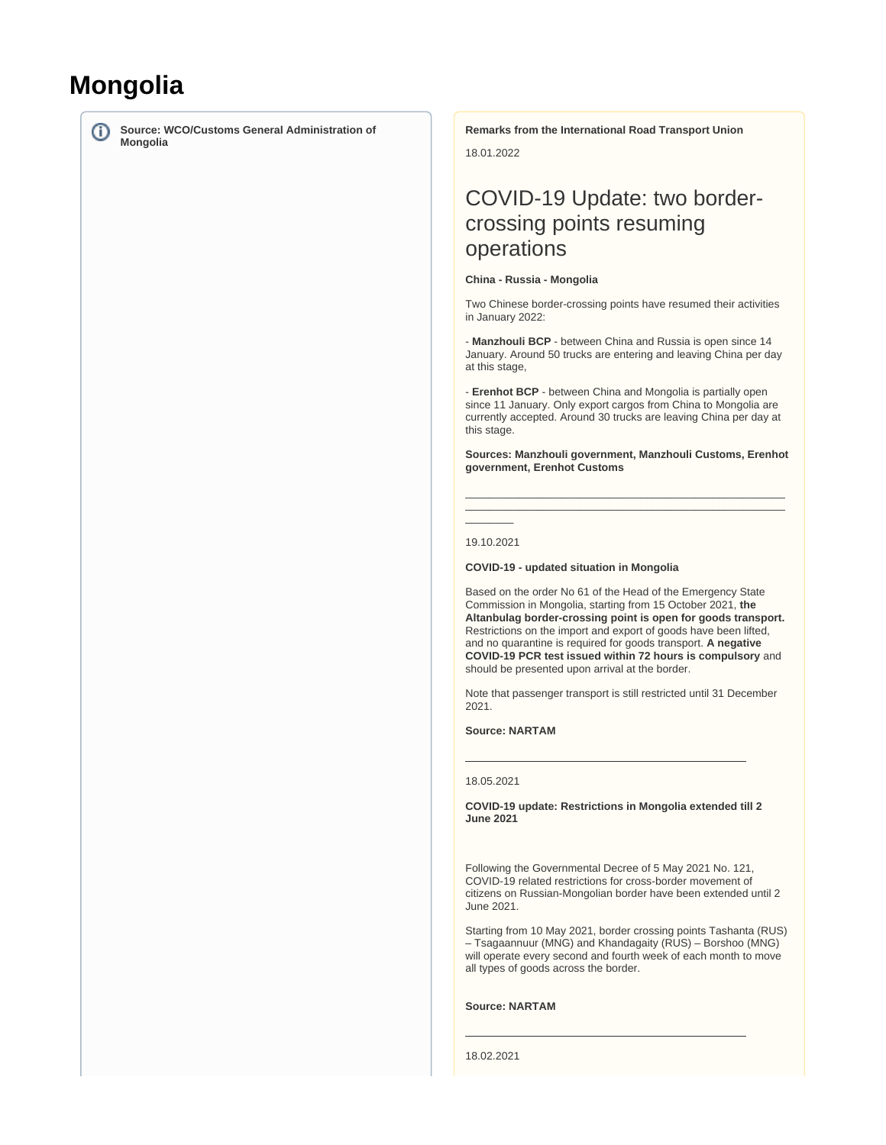# **Mongolia**

G)

**Source: WCO/Customs General Administration of Mongolia**

**Remarks from the International Road Transport Union**

18.01.2022

# COVID-19 Update: two bordercrossing points resuming operations

#### **China - Russia - Mongolia**

Two Chinese border-crossing points have resumed their activities in January 2022:

- **Manzhouli BCP** - between China and Russia is open since 14 January. Around 50 trucks are entering and leaving China per day at this stage,

- **Erenhot BCP** - between China and Mongolia is partially open since 11 January. Only export cargos from China to Mongolia are currently accepted. Around 30 trucks are leaving China per day at this stage.

**Sources: Manzhouli government, Manzhouli Customs, Erenhot government, Erenhot Customs**

\_\_\_\_\_\_\_\_\_\_\_\_\_\_\_\_\_\_\_\_\_\_\_\_\_\_\_\_\_\_\_\_\_\_\_\_\_\_\_\_\_\_\_\_\_\_\_\_\_\_\_\_\_ \_\_\_\_\_\_\_\_\_\_\_\_\_\_\_\_\_\_\_\_\_\_\_\_\_\_\_\_\_\_\_\_\_\_\_\_\_\_\_\_\_\_\_\_\_\_\_\_\_\_\_\_\_

 $\overline{\phantom{a}}$ 19.10.2021

**COVID-19 - updated situation in Mongolia**

Based on the order No 61 of the Head of the Emergency State Commission in Mongolia, starting from 15 October 2021, **the Altanbulag border-crossing point is open for goods transport.**  Restrictions on the import and export of goods have been lifted, and no quarantine is required for goods transport. **A negative COVID-19 PCR test issued within 72 hours is compulsory** and should be presented upon arrival at the border.

Note that passenger transport is still restricted until 31 December 2021.

**Source: NARTAM**

#### 18.05.2021

**COVID-19 update: Restrictions in Mongolia extended till 2 June 2021**

Following the Governmental Decree of 5 May 2021 No. 121, COVID-19 related restrictions for cross-border movement of citizens on Russian-Mongolian border have been extended until 2 June 2021.

Starting from 10 May 2021, border crossing points Tashanta (RUS) – Tsagaannuur (MNG) and Khandagaity (RUS) – Borshoo (MNG) will operate every second and fourth week of each month to move all types of goods across the border.

#### **Source: NARTAM**

18.02.2021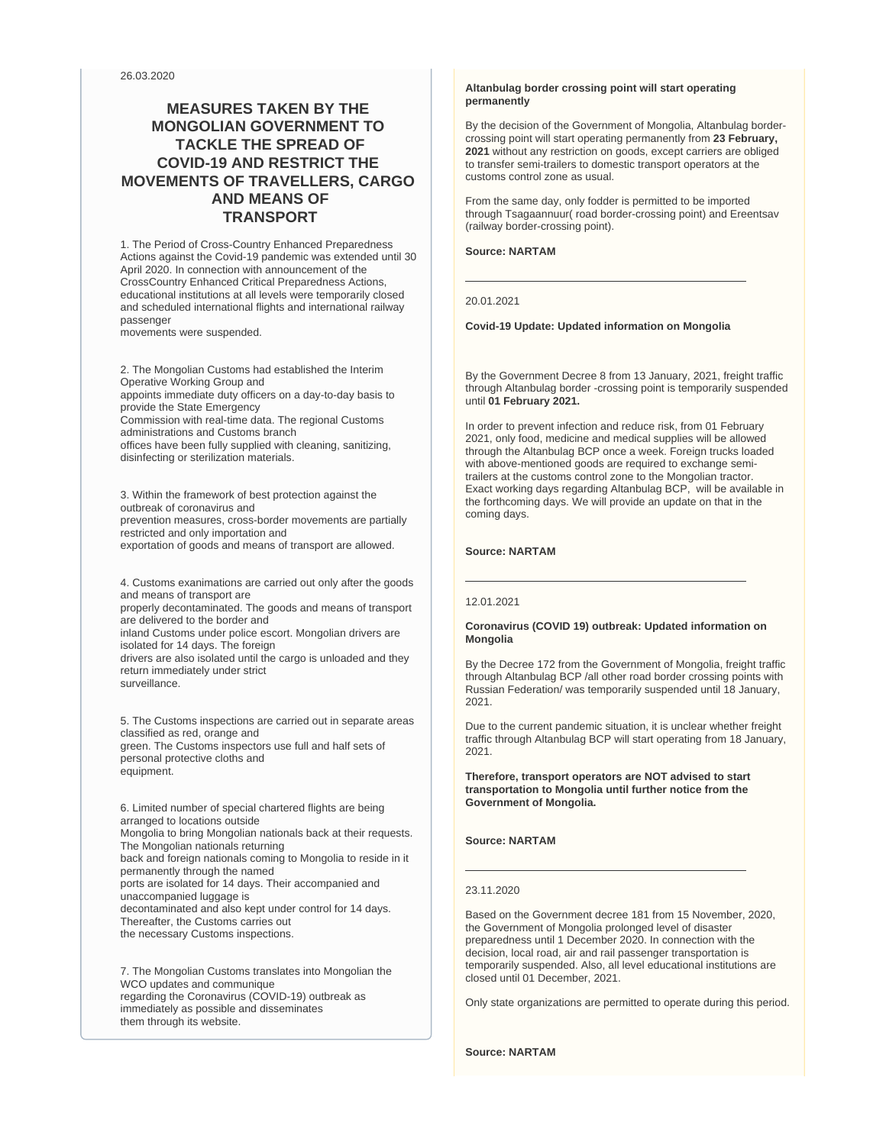26.03.2020

# **MEASURES TAKEN BY THE MONGOLIAN GOVERNMENT TO TACKLE THE SPREAD OF COVID-19 AND RESTRICT THE MOVEMENTS OF TRAVELLERS, CARGO AND MEANS OF TRANSPORT**

1. The Period of Cross-Country Enhanced Preparedness Actions against the Covid-19 pandemic was extended until 30 April 2020. In connection with announcement of the CrossCountry Enhanced Critical Preparedness Actions, educational institutions at all levels were temporarily closed and scheduled international flights and international railway passenger

movements were suspended.

2. The Mongolian Customs had established the Interim Operative Working Group and appoints immediate duty officers on a day-to-day basis to provide the State Emergency Commission with real-time data. The regional Customs administrations and Customs branch offices have been fully supplied with cleaning, sanitizing, disinfecting or sterilization materials.

3. Within the framework of best protection against the outbreak of coronavirus and prevention measures, cross-border movements are partially restricted and only importation and exportation of goods and means of transport are allowed.

4. Customs exanimations are carried out only after the goods and means of transport are properly decontaminated. The goods and means of transport

are delivered to the border and inland Customs under police escort. Mongolian drivers are isolated for 14 days. The foreign

drivers are also isolated until the cargo is unloaded and they return immediately under strict surveillance.

5. The Customs inspections are carried out in separate areas classified as red, orange and green. The Customs inspectors use full and half sets of personal protective cloths and equipment.

6. Limited number of special chartered flights are being arranged to locations outside Mongolia to bring Mongolian nationals back at their requests. The Mongolian nationals returning back and foreign nationals coming to Mongolia to reside in it permanently through the named ports are isolated for 14 days. Their accompanied and unaccompanied luggage is decontaminated and also kept under control for 14 days. Thereafter, the Customs carries out the necessary Customs inspections.

7. The Mongolian Customs translates into Mongolian the WCO updates and communique regarding the Coronavirus (COVID-19) outbreak as immediately as possible and disseminates them through its website.

### **Altanbulag border crossing point will start operating permanently**

By the decision of the Government of Mongolia, Altanbulag bordercrossing point will start operating permanently from **23 February, 2021** without any restriction on goods, except carriers are obliged to transfer semi-trailers to domestic transport operators at the customs control zone as usual.

From the same day, only fodder is permitted to be imported through Tsagaannuur( road border-crossing point) and Ereentsav (railway border-crossing point).

**Source: NARTAM** 

20.01.2021

**Covid-19 Update: Updated information on Mongolia**

By the Government Decree 8 from 13 January, 2021, freight traffic through Altanbulag border -crossing point is temporarily suspended until **01 February 2021.**

In order to prevent infection and reduce risk, from 01 February 2021, only food, medicine and medical supplies will be allowed through the Altanbulag BCP once a week. Foreign trucks loaded with above-mentioned goods are required to exchange semitrailers at the customs control zone to the Mongolian tractor. Exact working days regarding Altanbulag BCP, will be available in the forthcoming days. We will provide an update on that in the coming days.

# **Source: NARTAM**

#### 12.01.2021

#### **Coronavirus (COVID 19) outbreak: Updated information on Mongolia**

By the Decree 172 from the Government of Mongolia, freight traffic through Altanbulag BCP /all other road border crossing points with Russian Federation/ was temporarily suspended until 18 January, 2021.

Due to the current pandemic situation, it is unclear whether freight traffic through Altanbulag BCP will start operating from 18 January, 2021.

**Therefore, transport operators are NOT advised to start transportation to Mongolia until further notice from the Government of Mongolia.**

**Source: NARTAM**

# 23.11.2020

Based on the Government decree 181 from 15 November, 2020, the Government of Mongolia prolonged level of disaster preparedness until 1 December 2020. In connection with the decision, local road, air and rail passenger transportation is temporarily suspended. Also, all level educational institutions are closed until 01 December, 2021.

Only state organizations are permitted to operate during this period.

**Source: NARTAM**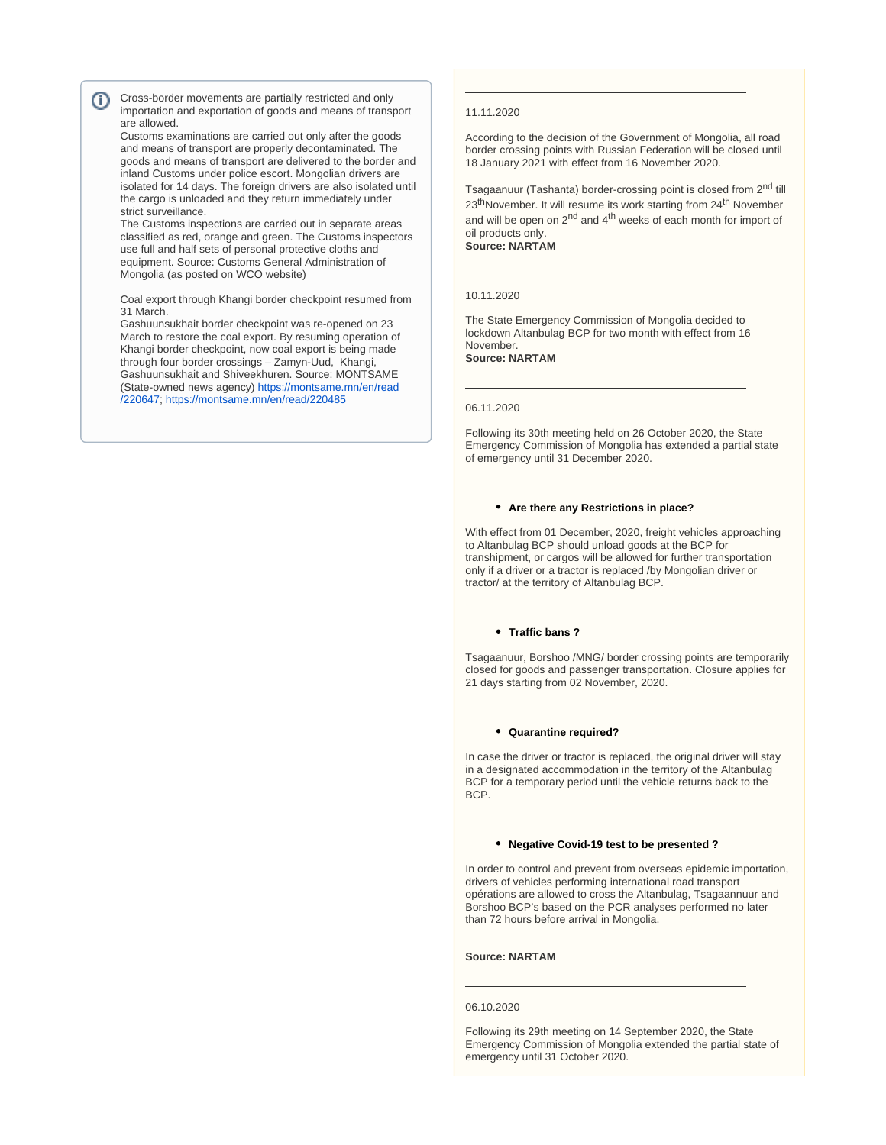Cross-border movements are partially restricted and only O) importation and exportation of goods and means of transport are allowed.

Customs examinations are carried out only after the goods and means of transport are properly decontaminated. The goods and means of transport are delivered to the border and inland Customs under police escort. Mongolian drivers are isolated for 14 days. The foreign drivers are also isolated until the cargo is unloaded and they return immediately under strict surveillance.

The Customs inspections are carried out in separate areas classified as red, orange and green. The Customs inspectors use full and half sets of personal protective cloths and equipment. Source: Customs General Administration of Mongolia (as posted on WCO website)

Coal export through Khangi border checkpoint resumed from 31 March.

Gashuunsukhait border checkpoint was re-opened on 23 March to restore the coal export. By resuming operation of Khangi border checkpoint, now coal export is being made through four border crossings – Zamyn-Uud, Khangi, Gashuunsukhait and Shiveekhuren. Source: MONTSAME (State-owned news agency) [https://montsame.mn/en/read](https://montsame.mn/en/read/220647) [/220647](https://montsame.mn/en/read/220647); <https://montsame.mn/en/read/220485>

#### 11.11.2020

According to the decision of the Government of Mongolia, all road border crossing points with Russian Federation will be closed until 18 January 2021 with effect from 16 November 2020.

Tsagaanuur (Tashanta) border-crossing point is closed from 2<sup>nd</sup> till 23<sup>th</sup>November. It will resume its work starting from 24<sup>th</sup> November and will be open on  $2^{nd}$  and  $4^{th}$  weeks of each month for import of oil products only.

# **Source: NARTAM**

# 10.11.2020

The State Emergency Commission of Mongolia decided to lockdown Altanbulag BCP for two month with effect from 16 November. **Source: NARTAM** 

#### 06.11.2020

Following its 30th meeting held on 26 October 2020, the State Emergency Commission of Mongolia has extended a partial state of emergency until 31 December 2020.

#### **Are there any Restrictions in place?**

With effect from 01 December, 2020, freight vehicles approaching to Altanbulag BCP should unload goods at the BCP for transhipment, or cargos will be allowed for further transportation only if a driver or a tractor is replaced /by Mongolian driver or tractor/ at the territory of Altanbulag BCP.

#### **Traffic bans ?**

Tsagaanuur, Borshoo /MNG/ border crossing points are temporarily closed for goods and passenger transportation. Closure applies for 21 days starting from 02 November, 2020.

#### **Quarantine required?**

In case the driver or tractor is replaced, the original driver will stay in a designated accommodation in the territory of the Altanbulag BCP for a temporary period until the vehicle returns back to the BCP.

#### **Negative Covid-19 test to be presented ?**

In order to control and prevent from overseas epidemic importation, drivers of vehicles performing international road transport opérations are allowed to cross the Altanbulag, Tsagaannuur and Borshoo BCP's based on the PCR analyses performed no later than 72 hours before arrival in Mongolia.

#### **Source: NARTAM**

#### 06.10.2020

Following its 29th meeting on 14 September 2020, the State Emergency Commission of Mongolia extended the partial state of emergency until 31 October 2020.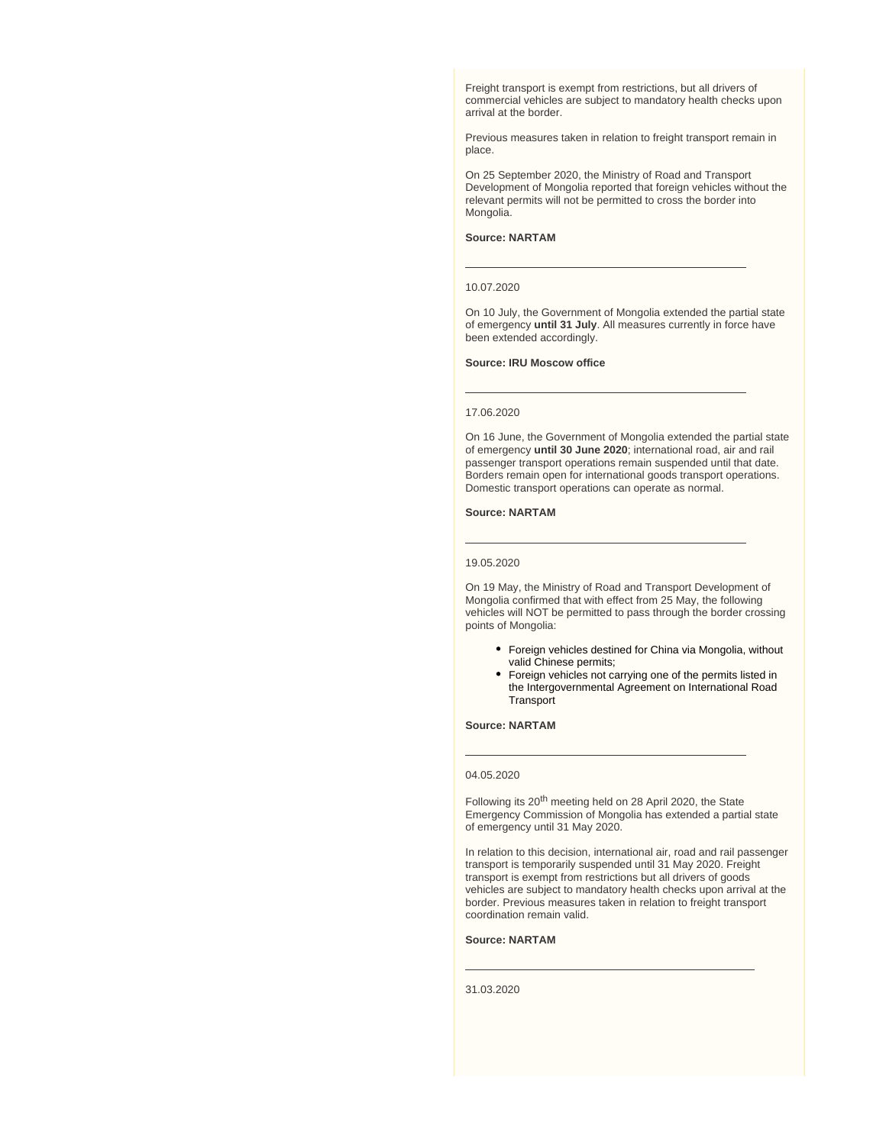Freight transport is exempt from restrictions, but all drivers of commercial vehicles are subject to mandatory health checks upon arrival at the border.

Previous measures taken in relation to freight transport remain in place.

On 25 September 2020, the Ministry of Road and Transport Development of Mongolia reported that foreign vehicles without the relevant permits will not be permitted to cross the border into Mongolia.

### **Source: NARTAM**

#### 10.07.2020

On 10 July, the Government of Mongolia extended the partial state of emergency **until 31 July**. All measures currently in force have been extended accordingly.

#### **Source: IRU Moscow office**

#### 17.06.2020

On 16 June, the Government of Mongolia extended the partial state of emergency **until 30 June 2020**; international road, air and rail passenger transport operations remain suspended until that date. Borders remain open for international goods transport operations. Domestic transport operations can operate as normal.

#### **Source: NARTAM**

#### 19.05.2020

On 19 May, the Ministry of Road and Transport Development of Mongolia confirmed that with effect from 25 May, the following vehicles will NOT be permitted to pass through the border crossing points of Mongolia:

- Foreign vehicles destined for China via Mongolia, without valid Chinese permits;
- Foreign vehicles not carrying one of the permits listed in the Intergovernmental Agreement on International Road **Transport**

#### **Source: NARTAM**

#### 04.05.2020

Following its 20<sup>th</sup> meeting held on 28 April 2020, the State Emergency Commission of Mongolia has extended a partial state of emergency until 31 May 2020.

In relation to this decision, international air, road and rail passenger transport is temporarily suspended until 31 May 2020. Freight transport is exempt from restrictions but all drivers of goods vehicles are subject to mandatory health checks upon arrival at the border. Previous measures taken in relation to freight transport coordination remain valid.

# **Source: NARTAM**

31.03.2020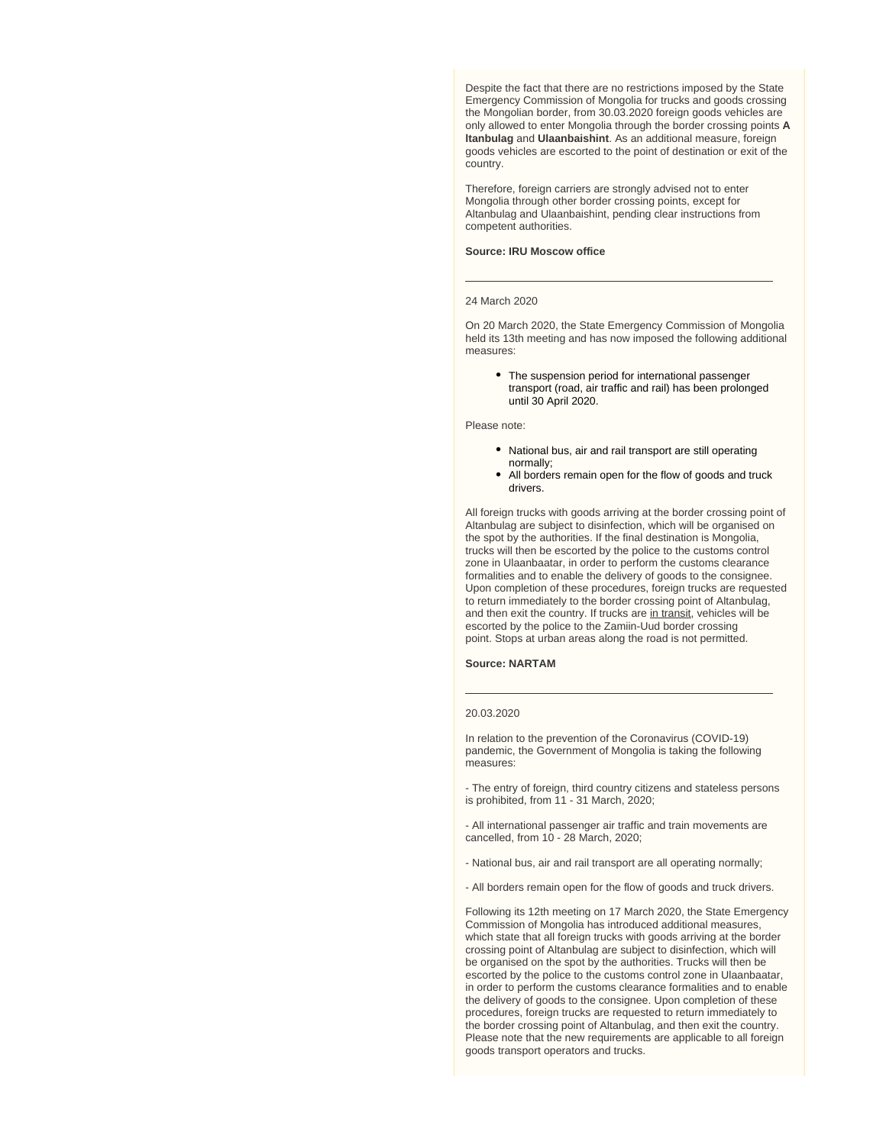Despite the fact that there are no restrictions imposed by the State Emergency Commission of Mongolia for trucks and goods crossing the Mongolian border, from 30.03.2020 foreign goods vehicles are only allowed to enter Mongolia through the border crossing points **A ltanbulag** and **Ulaanbaishint**. As an additional measure, foreign goods vehicles are escorted to the point of destination or exit of the country.

Therefore, foreign carriers are strongly advised not to enter Mongolia through other border crossing points, except for Altanbulag and Ulaanbaishint, pending clear instructions from competent authorities.

#### **Source: IRU Moscow office**

#### 24 March 2020

On 20 March 2020, the State Emergency Commission of Mongolia held its 13th meeting and has now imposed the following additional measures:

• The suspension period for international passenger transport (road, air traffic and rail) has been prolonged until 30 April 2020.

#### Please note:

- National bus, air and rail transport are still operating normally;
- All borders remain open for the flow of goods and truck drivers.

All foreign trucks with goods arriving at the border crossing point of Altanbulag are subject to disinfection, which will be organised on the spot by the authorities. If the final destination is Mongolia, trucks will then be escorted by the police to the customs control zone in Ulaanbaatar, in order to perform the customs clearance formalities and to enable the delivery of goods to the consignee. Upon completion of these procedures, foreign trucks are requested to return immediately to the border crossing point of Altanbulag, and then exit the country. If trucks are in transit, vehicles will be escorted by the police to the Zamiin-Uud border crossing point. Stops at urban areas along the road is not permitted.

#### **Source: NARTAM**

#### 20.03.2020

In relation to the prevention of the Coronavirus (COVID-19) pandemic, the Government of Mongolia is taking the following measures:

- The entry of foreign, third country citizens and stateless persons is prohibited, from 11 - 31 March, 2020;

- All international passenger air traffic and train movements are cancelled, from 10 - 28 March, 2020;

- National bus, air and rail transport are all operating normally;
- All borders remain open for the flow of goods and truck drivers.

Following its 12th meeting on 17 March 2020, the State Emergency Commission of Mongolia has introduced additional measures, which state that all foreign trucks with goods arriving at the border crossing point of Altanbulag are subject to disinfection, which will be organised on the spot by the authorities. Trucks will then be escorted by the police to the customs control zone in Ulaanbaatar, in order to perform the customs clearance formalities and to enable the delivery of goods to the consignee. Upon completion of these procedures, foreign trucks are requested to return immediately to the border crossing point of Altanbulag, and then exit the country. Please note that the new requirements are applicable to all foreign goods transport operators and trucks.